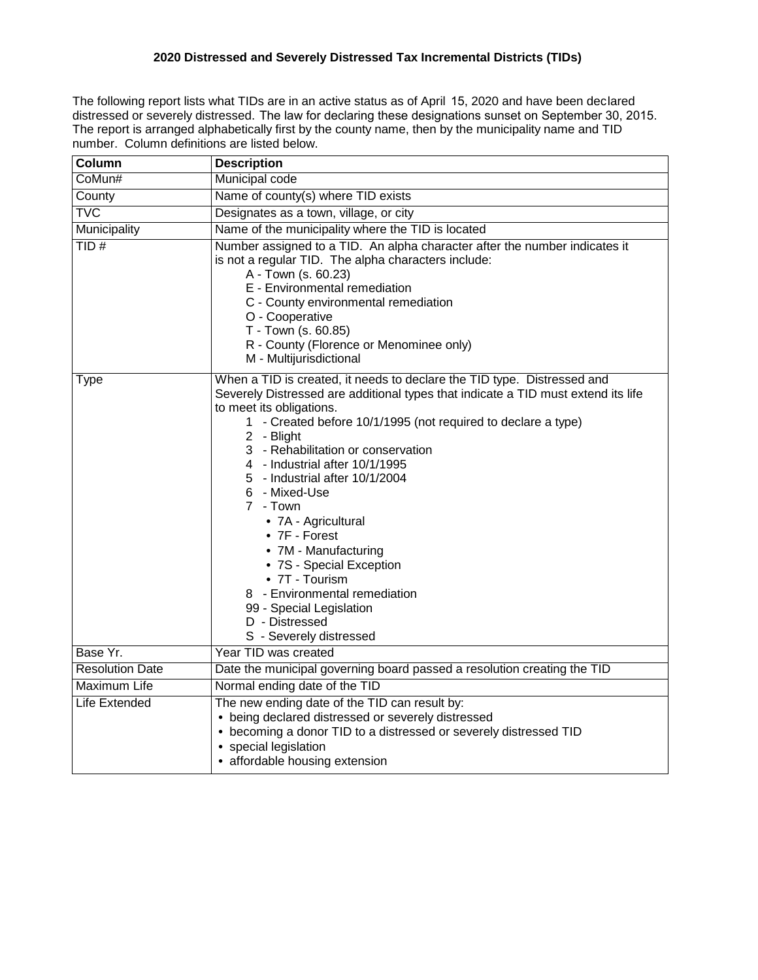## **2020 Distressed and Severely Distressed Tax Incremental Districts (TIDs)**

The following report lists what TIDs are in an active status as of April 15, 2020 and have been declared distressed or severely distressed. The law for declaring these designations sunset on September 30, 2015. The report is arranged alphabetically first by the county name, then by the municipality name and TID number. Column definitions are listed below.

| Column                  | <b>Description</b>                                                                                                                                                                                                                                                                                                                                                                                                                                                                                                                                                                                                                     |
|-------------------------|----------------------------------------------------------------------------------------------------------------------------------------------------------------------------------------------------------------------------------------------------------------------------------------------------------------------------------------------------------------------------------------------------------------------------------------------------------------------------------------------------------------------------------------------------------------------------------------------------------------------------------------|
| CoMun#                  | Municipal code                                                                                                                                                                                                                                                                                                                                                                                                                                                                                                                                                                                                                         |
| County                  | Name of county(s) where TID exists                                                                                                                                                                                                                                                                                                                                                                                                                                                                                                                                                                                                     |
| $\overline{\text{TVC}}$ | Designates as a town, village, or city                                                                                                                                                                                                                                                                                                                                                                                                                                                                                                                                                                                                 |
| Municipality            | Name of the municipality where the TID is located                                                                                                                                                                                                                                                                                                                                                                                                                                                                                                                                                                                      |
| TID#                    | Number assigned to a TID. An alpha character after the number indicates it<br>is not a regular TID. The alpha characters include:<br>A - Town (s. 60.23)<br>E - Environmental remediation<br>C - County environmental remediation<br>O - Cooperative<br>T - Town (s. 60.85)<br>R - County (Florence or Menominee only)<br>M - Multijurisdictional                                                                                                                                                                                                                                                                                      |
| Type                    | When a TID is created, it needs to declare the TID type. Distressed and<br>Severely Distressed are additional types that indicate a TID must extend its life<br>to meet its obligations.<br>1 - Created before 10/1/1995 (not required to declare a type)<br>2 - Blight<br>3 - Rehabilitation or conservation<br>4 - Industrial after 10/1/1995<br>5 - Industrial after 10/1/2004<br>6 - Mixed-Use<br>7 - Town<br>• 7A - Agricultural<br>• 7F - Forest<br>• 7M - Manufacturing<br>• 7S - Special Exception<br>• 7T - Tourism<br>8 - Environmental remediation<br>99 - Special Legislation<br>D - Distressed<br>S - Severely distressed |
| Base Yr.                | Year TID was created                                                                                                                                                                                                                                                                                                                                                                                                                                                                                                                                                                                                                   |
| <b>Resolution Date</b>  | Date the municipal governing board passed a resolution creating the TID                                                                                                                                                                                                                                                                                                                                                                                                                                                                                                                                                                |
| <b>Maximum Life</b>     | Normal ending date of the TID                                                                                                                                                                                                                                                                                                                                                                                                                                                                                                                                                                                                          |
| Life Extended           | The new ending date of the TID can result by:<br>• being declared distressed or severely distressed<br>• becoming a donor TID to a distressed or severely distressed TID<br>• special legislation<br>• affordable housing extension                                                                                                                                                                                                                                                                                                                                                                                                    |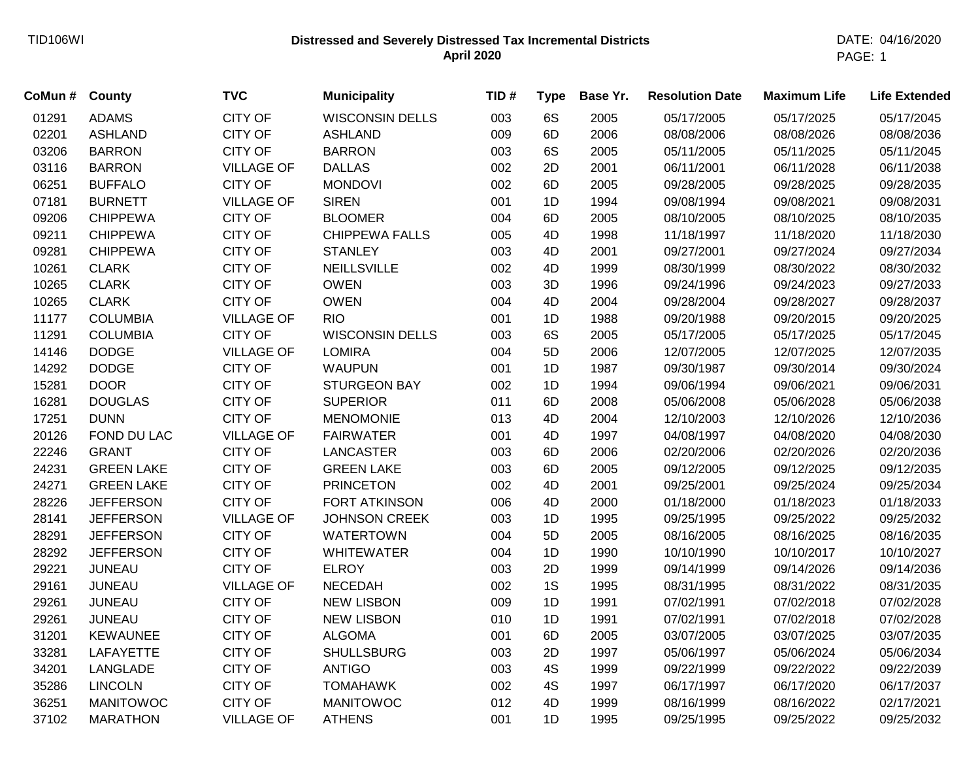## **Distressed and Severely Distressed Tax Incremental Districts** TID106WI DATE: 04/16/2020  **April 2020**

PAGE: 1

| CoMun# | County            | <b>TVC</b>        | <b>Municipality</b>    | TID# | <b>Type</b> | Base Yr. | <b>Resolution Date</b> | <b>Maximum Life</b> | <b>Life Extended</b> |
|--------|-------------------|-------------------|------------------------|------|-------------|----------|------------------------|---------------------|----------------------|
| 01291  | <b>ADAMS</b>      | <b>CITY OF</b>    | <b>WISCONSIN DELLS</b> | 003  | 6S          | 2005     | 05/17/2005             | 05/17/2025          | 05/17/2045           |
| 02201  | <b>ASHLAND</b>    | <b>CITY OF</b>    | <b>ASHLAND</b>         | 009  | 6D          | 2006     | 08/08/2006             | 08/08/2026          | 08/08/2036           |
| 03206  | <b>BARRON</b>     | <b>CITY OF</b>    | <b>BARRON</b>          | 003  | 6S          | 2005     | 05/11/2005             | 05/11/2025          | 05/11/2045           |
| 03116  | <b>BARRON</b>     | <b>VILLAGE OF</b> | <b>DALLAS</b>          | 002  | 2D          | 2001     | 06/11/2001             | 06/11/2028          | 06/11/2038           |
| 06251  | <b>BUFFALO</b>    | <b>CITY OF</b>    | <b>MONDOVI</b>         | 002  | 6D          | 2005     | 09/28/2005             | 09/28/2025          | 09/28/2035           |
| 07181  | <b>BURNETT</b>    | <b>VILLAGE OF</b> | <b>SIREN</b>           | 001  | 1D          | 1994     | 09/08/1994             | 09/08/2021          | 09/08/2031           |
| 09206  | <b>CHIPPEWA</b>   | <b>CITY OF</b>    | <b>BLOOMER</b>         | 004  | 6D          | 2005     | 08/10/2005             | 08/10/2025          | 08/10/2035           |
| 09211  | <b>CHIPPEWA</b>   | <b>CITY OF</b>    | <b>CHIPPEWA FALLS</b>  | 005  | 4D          | 1998     | 11/18/1997             | 11/18/2020          | 11/18/2030           |
| 09281  | <b>CHIPPEWA</b>   | <b>CITY OF</b>    | <b>STANLEY</b>         | 003  | 4D          | 2001     | 09/27/2001             | 09/27/2024          | 09/27/2034           |
| 10261  | <b>CLARK</b>      | <b>CITY OF</b>    | <b>NEILLSVILLE</b>     | 002  | 4D          | 1999     | 08/30/1999             | 08/30/2022          | 08/30/2032           |
| 10265  | <b>CLARK</b>      | <b>CITY OF</b>    | <b>OWEN</b>            | 003  | 3D          | 1996     | 09/24/1996             | 09/24/2023          | 09/27/2033           |
| 10265  | <b>CLARK</b>      | <b>CITY OF</b>    | <b>OWEN</b>            | 004  | 4D          | 2004     | 09/28/2004             | 09/28/2027          | 09/28/2037           |
| 11177  | <b>COLUMBIA</b>   | <b>VILLAGE OF</b> | <b>RIO</b>             | 001  | 1D          | 1988     | 09/20/1988             | 09/20/2015          | 09/20/2025           |
| 11291  | <b>COLUMBIA</b>   | <b>CITY OF</b>    | <b>WISCONSIN DELLS</b> | 003  | 6S          | 2005     | 05/17/2005             | 05/17/2025          | 05/17/2045           |
| 14146  | <b>DODGE</b>      | <b>VILLAGE OF</b> | <b>LOMIRA</b>          | 004  | 5D          | 2006     | 12/07/2005             | 12/07/2025          | 12/07/2035           |
| 14292  | <b>DODGE</b>      | <b>CITY OF</b>    | <b>WAUPUN</b>          | 001  | 1D          | 1987     | 09/30/1987             | 09/30/2014          | 09/30/2024           |
| 15281  | <b>DOOR</b>       | <b>CITY OF</b>    | <b>STURGEON BAY</b>    | 002  | 1D          | 1994     | 09/06/1994             | 09/06/2021          | 09/06/2031           |
| 16281  | <b>DOUGLAS</b>    | <b>CITY OF</b>    | <b>SUPERIOR</b>        | 011  | 6D          | 2008     | 05/06/2008             | 05/06/2028          | 05/06/2038           |
| 17251  | <b>DUNN</b>       | <b>CITY OF</b>    | <b>MENOMONIE</b>       | 013  | 4D          | 2004     | 12/10/2003             | 12/10/2026          | 12/10/2036           |
| 20126  | FOND DU LAC       | <b>VILLAGE OF</b> | <b>FAIRWATER</b>       | 001  | 4D          | 1997     | 04/08/1997             | 04/08/2020          | 04/08/2030           |
| 22246  | <b>GRANT</b>      | <b>CITY OF</b>    | <b>LANCASTER</b>       | 003  | 6D          | 2006     | 02/20/2006             | 02/20/2026          | 02/20/2036           |
| 24231  | <b>GREEN LAKE</b> | <b>CITY OF</b>    | <b>GREEN LAKE</b>      | 003  | 6D          | 2005     | 09/12/2005             | 09/12/2025          | 09/12/2035           |
| 24271  | <b>GREEN LAKE</b> | <b>CITY OF</b>    | <b>PRINCETON</b>       | 002  | 4D          | 2001     | 09/25/2001             | 09/25/2024          | 09/25/2034           |
| 28226  | <b>JEFFERSON</b>  | <b>CITY OF</b>    | <b>FORT ATKINSON</b>   | 006  | 4D          | 2000     | 01/18/2000             | 01/18/2023          | 01/18/2033           |
| 28141  | <b>JEFFERSON</b>  | <b>VILLAGE OF</b> | <b>JOHNSON CREEK</b>   | 003  | 1D          | 1995     | 09/25/1995             | 09/25/2022          | 09/25/2032           |
| 28291  | <b>JEFFERSON</b>  | <b>CITY OF</b>    | <b>WATERTOWN</b>       | 004  | 5D          | 2005     | 08/16/2005             | 08/16/2025          | 08/16/2035           |
| 28292  | <b>JEFFERSON</b>  | <b>CITY OF</b>    | <b>WHITEWATER</b>      | 004  | 1D          | 1990     | 10/10/1990             | 10/10/2017          | 10/10/2027           |
| 29221  | <b>JUNEAU</b>     | <b>CITY OF</b>    | <b>ELROY</b>           | 003  | 2D          | 1999     | 09/14/1999             | 09/14/2026          | 09/14/2036           |
| 29161  | <b>JUNEAU</b>     | <b>VILLAGE OF</b> | <b>NECEDAH</b>         | 002  | 1S          | 1995     | 08/31/1995             | 08/31/2022          | 08/31/2035           |
| 29261  | <b>JUNEAU</b>     | <b>CITY OF</b>    | <b>NEW LISBON</b>      | 009  | 1D          | 1991     | 07/02/1991             | 07/02/2018          | 07/02/2028           |
| 29261  | <b>JUNEAU</b>     | <b>CITY OF</b>    | <b>NEW LISBON</b>      | 010  | 1D          | 1991     | 07/02/1991             | 07/02/2018          | 07/02/2028           |
| 31201  | <b>KEWAUNEE</b>   | <b>CITY OF</b>    | <b>ALGOMA</b>          | 001  | 6D          | 2005     | 03/07/2005             | 03/07/2025          | 03/07/2035           |
| 33281  | <b>LAFAYETTE</b>  | <b>CITY OF</b>    | <b>SHULLSBURG</b>      | 003  | 2D          | 1997     | 05/06/1997             | 05/06/2024          | 05/06/2034           |
| 34201  | LANGLADE          | <b>CITY OF</b>    | <b>ANTIGO</b>          | 003  | 4S          | 1999     | 09/22/1999             | 09/22/2022          | 09/22/2039           |
| 35286  | <b>LINCOLN</b>    | <b>CITY OF</b>    | <b>TOMAHAWK</b>        | 002  | 4S          | 1997     | 06/17/1997             | 06/17/2020          | 06/17/2037           |
| 36251  | <b>MANITOWOC</b>  | <b>CITY OF</b>    | <b>MANITOWOC</b>       | 012  | 4D          | 1999     | 08/16/1999             | 08/16/2022          | 02/17/2021           |
| 37102  | <b>MARATHON</b>   | <b>VILLAGE OF</b> | <b>ATHENS</b>          | 001  | 1D          | 1995     | 09/25/1995             | 09/25/2022          | 09/25/2032           |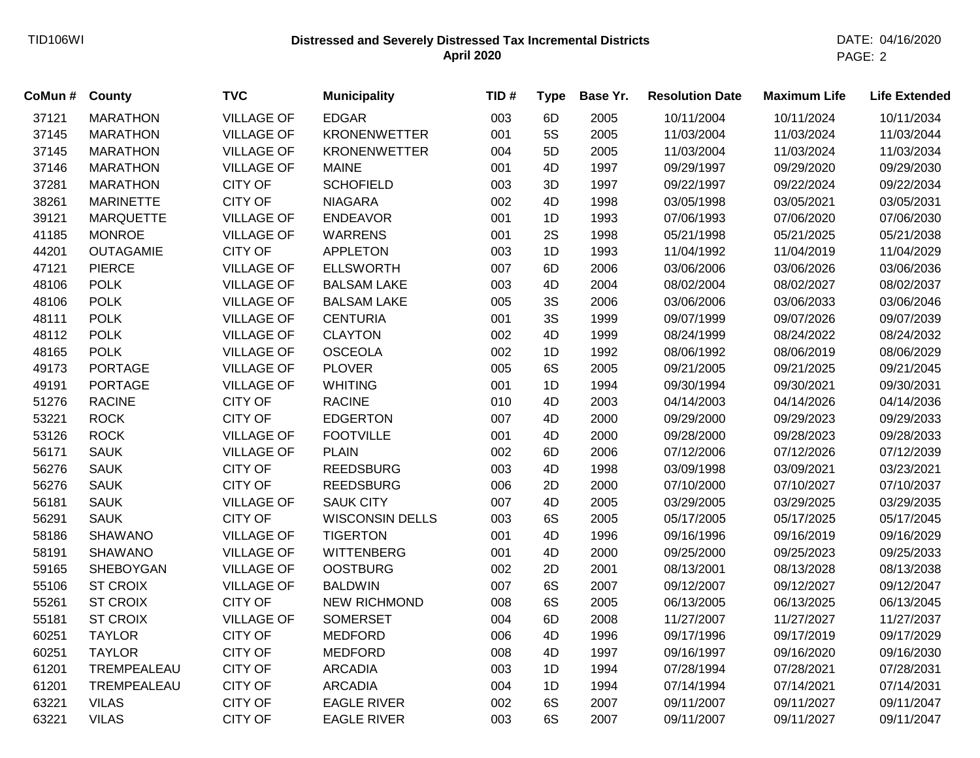## **Distressed and Severely Distressed Tax Incremental Districts** TID106WI DATE: 04/16/2020  **April 2020**

| CoMun# | County           | <b>TVC</b>        | <b>Municipality</b>    | TID# | <b>Type</b> | Base Yr. | <b>Resolution Date</b> | <b>Maximum Life</b> | <b>Life Extended</b> |
|--------|------------------|-------------------|------------------------|------|-------------|----------|------------------------|---------------------|----------------------|
| 37121  | <b>MARATHON</b>  | <b>VILLAGE OF</b> | <b>EDGAR</b>           | 003  | 6D          | 2005     | 10/11/2004             | 10/11/2024          | 10/11/2034           |
| 37145  | <b>MARATHON</b>  | <b>VILLAGE OF</b> | <b>KRONENWETTER</b>    | 001  | <b>5S</b>   | 2005     | 11/03/2004             | 11/03/2024          | 11/03/2044           |
| 37145  | <b>MARATHON</b>  | <b>VILLAGE OF</b> | <b>KRONENWETTER</b>    | 004  | 5D          | 2005     | 11/03/2004             | 11/03/2024          | 11/03/2034           |
| 37146  | <b>MARATHON</b>  | <b>VILLAGE OF</b> | <b>MAINE</b>           | 001  | 4D          | 1997     | 09/29/1997             | 09/29/2020          | 09/29/2030           |
| 37281  | <b>MARATHON</b>  | <b>CITY OF</b>    | <b>SCHOFIELD</b>       | 003  | 3D          | 1997     | 09/22/1997             | 09/22/2024          | 09/22/2034           |
| 38261  | <b>MARINETTE</b> | <b>CITY OF</b>    | <b>NIAGARA</b>         | 002  | 4D          | 1998     | 03/05/1998             | 03/05/2021          | 03/05/2031           |
| 39121  | <b>MARQUETTE</b> | <b>VILLAGE OF</b> | <b>ENDEAVOR</b>        | 001  | 1D          | 1993     | 07/06/1993             | 07/06/2020          | 07/06/2030           |
| 41185  | <b>MONROE</b>    | <b>VILLAGE OF</b> | <b>WARRENS</b>         | 001  | 2S          | 1998     | 05/21/1998             | 05/21/2025          | 05/21/2038           |
| 44201  | <b>OUTAGAMIE</b> | <b>CITY OF</b>    | <b>APPLETON</b>        | 003  | 1D          | 1993     | 11/04/1992             | 11/04/2019          | 11/04/2029           |
| 47121  | <b>PIERCE</b>    | <b>VILLAGE OF</b> | <b>ELLSWORTH</b>       | 007  | 6D          | 2006     | 03/06/2006             | 03/06/2026          | 03/06/2036           |
| 48106  | <b>POLK</b>      | <b>VILLAGE OF</b> | <b>BALSAM LAKE</b>     | 003  | 4D          | 2004     | 08/02/2004             | 08/02/2027          | 08/02/2037           |
| 48106  | <b>POLK</b>      | <b>VILLAGE OF</b> | <b>BALSAM LAKE</b>     | 005  | 3S          | 2006     | 03/06/2006             | 03/06/2033          | 03/06/2046           |
| 48111  | <b>POLK</b>      | <b>VILLAGE OF</b> | <b>CENTURIA</b>        | 001  | 3S          | 1999     | 09/07/1999             | 09/07/2026          | 09/07/2039           |
| 48112  | <b>POLK</b>      | <b>VILLAGE OF</b> | <b>CLAYTON</b>         | 002  | 4D          | 1999     | 08/24/1999             | 08/24/2022          | 08/24/2032           |
| 48165  | <b>POLK</b>      | <b>VILLAGE OF</b> | <b>OSCEOLA</b>         | 002  | 1D          | 1992     | 08/06/1992             | 08/06/2019          | 08/06/2029           |
| 49173  | <b>PORTAGE</b>   | <b>VILLAGE OF</b> | <b>PLOVER</b>          | 005  | 6S          | 2005     | 09/21/2005             | 09/21/2025          | 09/21/2045           |
| 49191  | <b>PORTAGE</b>   | <b>VILLAGE OF</b> | <b>WHITING</b>         | 001  | 1D          | 1994     | 09/30/1994             | 09/30/2021          | 09/30/2031           |
| 51276  | <b>RACINE</b>    | <b>CITY OF</b>    | <b>RACINE</b>          | 010  | 4D          | 2003     | 04/14/2003             | 04/14/2026          | 04/14/2036           |
| 53221  | <b>ROCK</b>      | <b>CITY OF</b>    | <b>EDGERTON</b>        | 007  | 4D          | 2000     | 09/29/2000             | 09/29/2023          | 09/29/2033           |
| 53126  | <b>ROCK</b>      | <b>VILLAGE OF</b> | <b>FOOTVILLE</b>       | 001  | 4D          | 2000     | 09/28/2000             | 09/28/2023          | 09/28/2033           |
| 56171  | <b>SAUK</b>      | <b>VILLAGE OF</b> | <b>PLAIN</b>           | 002  | 6D          | 2006     | 07/12/2006             | 07/12/2026          | 07/12/2039           |
| 56276  | <b>SAUK</b>      | <b>CITY OF</b>    | <b>REEDSBURG</b>       | 003  | 4D          | 1998     | 03/09/1998             | 03/09/2021          | 03/23/2021           |
| 56276  | <b>SAUK</b>      | <b>CITY OF</b>    | <b>REEDSBURG</b>       | 006  | 2D          | 2000     | 07/10/2000             | 07/10/2027          | 07/10/2037           |
| 56181  | <b>SAUK</b>      | <b>VILLAGE OF</b> | <b>SAUK CITY</b>       | 007  | 4D          | 2005     | 03/29/2005             | 03/29/2025          | 03/29/2035           |
| 56291  | <b>SAUK</b>      | <b>CITY OF</b>    | <b>WISCONSIN DELLS</b> | 003  | 6S          | 2005     | 05/17/2005             | 05/17/2025          | 05/17/2045           |
| 58186  | <b>SHAWANO</b>   | <b>VILLAGE OF</b> | <b>TIGERTON</b>        | 001  | 4D          | 1996     | 09/16/1996             | 09/16/2019          | 09/16/2029           |
| 58191  | <b>SHAWANO</b>   | <b>VILLAGE OF</b> | <b>WITTENBERG</b>      | 001  | 4D          | 2000     | 09/25/2000             | 09/25/2023          | 09/25/2033           |
| 59165  | SHEBOYGAN        | <b>VILLAGE OF</b> | <b>OOSTBURG</b>        | 002  | 2D          | 2001     | 08/13/2001             | 08/13/2028          | 08/13/2038           |
| 55106  | <b>ST CROIX</b>  | <b>VILLAGE OF</b> | <b>BALDWIN</b>         | 007  | 6S          | 2007     | 09/12/2007             | 09/12/2027          | 09/12/2047           |
| 55261  | <b>ST CROIX</b>  | <b>CITY OF</b>    | <b>NEW RICHMOND</b>    | 008  | 6S          | 2005     | 06/13/2005             | 06/13/2025          | 06/13/2045           |
| 55181  | <b>ST CROIX</b>  | <b>VILLAGE OF</b> | <b>SOMERSET</b>        | 004  | 6D          | 2008     | 11/27/2007             | 11/27/2027          | 11/27/2037           |
| 60251  | <b>TAYLOR</b>    | <b>CITY OF</b>    | <b>MEDFORD</b>         | 006  | 4D          | 1996     | 09/17/1996             | 09/17/2019          | 09/17/2029           |
| 60251  | <b>TAYLOR</b>    | <b>CITY OF</b>    | <b>MEDFORD</b>         | 008  | 4D          | 1997     | 09/16/1997             | 09/16/2020          | 09/16/2030           |
| 61201  | TREMPEALEAU      | <b>CITY OF</b>    | <b>ARCADIA</b>         | 003  | 1D          | 1994     | 07/28/1994             | 07/28/2021          | 07/28/2031           |
| 61201  | TREMPEALEAU      | <b>CITY OF</b>    | <b>ARCADIA</b>         | 004  | 1D          | 1994     | 07/14/1994             | 07/14/2021          | 07/14/2031           |
| 63221  | <b>VILAS</b>     | <b>CITY OF</b>    | <b>EAGLE RIVER</b>     | 002  | 6S          | 2007     | 09/11/2007             | 09/11/2027          | 09/11/2047           |
| 63221  | <b>VILAS</b>     | <b>CITY OF</b>    | <b>EAGLE RIVER</b>     | 003  | 6S          | 2007     | 09/11/2007             | 09/11/2027          | 09/11/2047           |